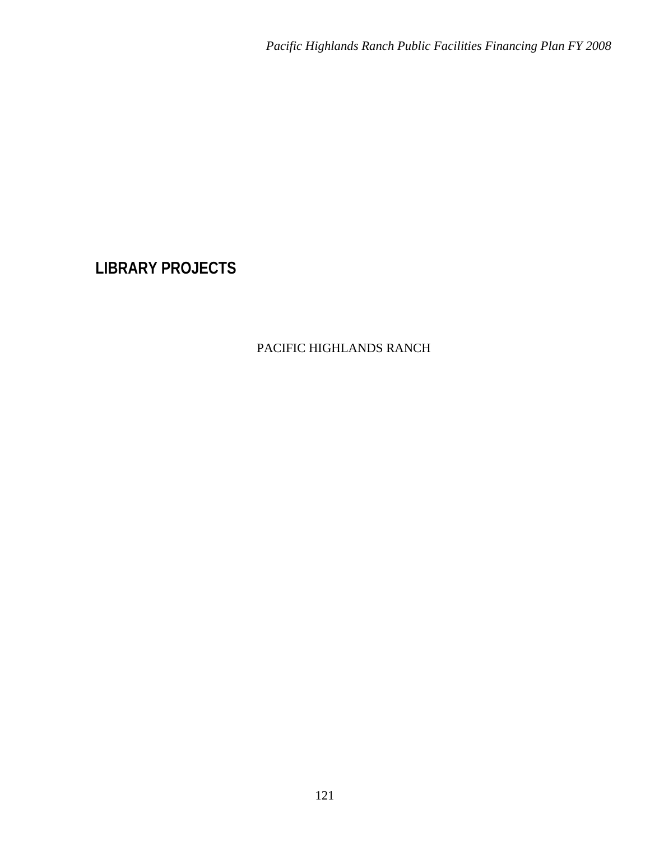# **LIBRARY PROJECTS**

# PACIFIC HIGHLANDS RANCH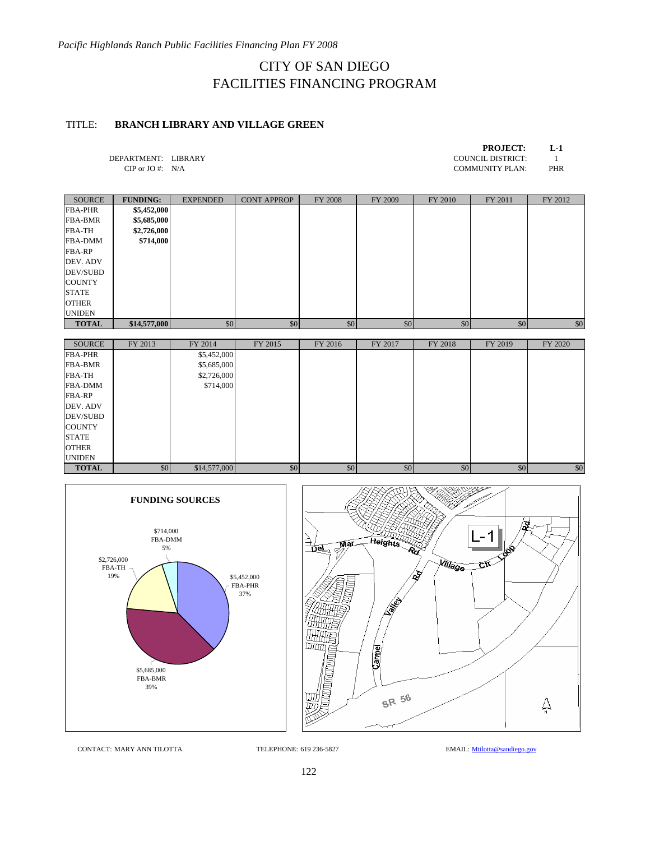## CITY OF SAN DIEGO FACILITIES FINANCING PROGRAM

#### TITLE: **BRANCH LIBRARY AND VILLAGE GREEN**

| <b>PROJECT:</b> | L-1 |
|-----------------|-----|
|                 |     |

DEPARTMENT: LIBRARY COUNCIL DISTRICT: 1<br>
CIP or JO #: N/A COMMUNITY PLAN: PHR

COMMUNITY PLAN:

| SOURCE         | <b>FUNDING:</b> | <b>EXPENDED</b> | <b>CONT APPROP</b> | FY 2008 | FY 2009 | FY 2010 | FY 2011 | FY 2012 |
|----------------|-----------------|-----------------|--------------------|---------|---------|---------|---------|---------|
| <b>FBA-PHR</b> | \$5,452,000     |                 |                    |         |         |         |         |         |
| <b>FBA-BMR</b> | \$5,685,000     |                 |                    |         |         |         |         |         |
| <b>FBA-TH</b>  | \$2,726,000     |                 |                    |         |         |         |         |         |
| <b>FBA-DMM</b> | \$714,000       |                 |                    |         |         |         |         |         |
| <b>FBA-RP</b>  |                 |                 |                    |         |         |         |         |         |
| DEV. ADV       |                 |                 |                    |         |         |         |         |         |
| DEV/SUBD       |                 |                 |                    |         |         |         |         |         |
| <b>COUNTY</b>  |                 |                 |                    |         |         |         |         |         |
| <b>STATE</b>   |                 |                 |                    |         |         |         |         |         |
| <b>OTHER</b>   |                 |                 |                    |         |         |         |         |         |
| <b>UNIDEN</b>  |                 |                 |                    |         |         |         |         |         |
| <b>TOTAL</b>   | \$14,577,000    | \$0             | \$0                | \$0     | \$0     | \$0     | \$0     | \$0     |

| <b>SOURCE</b>  | FY 2013 | FY 2014      | FY 2015 | FY 2016 | FY 2017 | FY 2018 | FY 2019 | FY 2020 |
|----------------|---------|--------------|---------|---------|---------|---------|---------|---------|
| <b>FBA-PHR</b> |         | \$5,452,000  |         |         |         |         |         |         |
| <b>FBA-BMR</b> |         | \$5,685,000  |         |         |         |         |         |         |
| <b>FBA-TH</b>  |         | \$2,726,000  |         |         |         |         |         |         |
| <b>FBA-DMM</b> |         | \$714,000    |         |         |         |         |         |         |
| <b>FBA-RP</b>  |         |              |         |         |         |         |         |         |
| DEV. ADV       |         |              |         |         |         |         |         |         |
| DEV/SUBD       |         |              |         |         |         |         |         |         |
| <b>COUNTY</b>  |         |              |         |         |         |         |         |         |
| <b>STATE</b>   |         |              |         |         |         |         |         |         |
| <b>OTHER</b>   |         |              |         |         |         |         |         |         |
| <b>UNIDEN</b>  |         |              |         |         |         |         |         |         |
| <b>TOTAL</b>   | \$0     | \$14,577,000 | \$0     | \$0     | \$0     | \$0     | \$0     | \$0     |





CONTACT: MARY ANN TILOTTA TELEPHONE: 619 236-5827 EMAIL: Mtilotta@sandiego.gov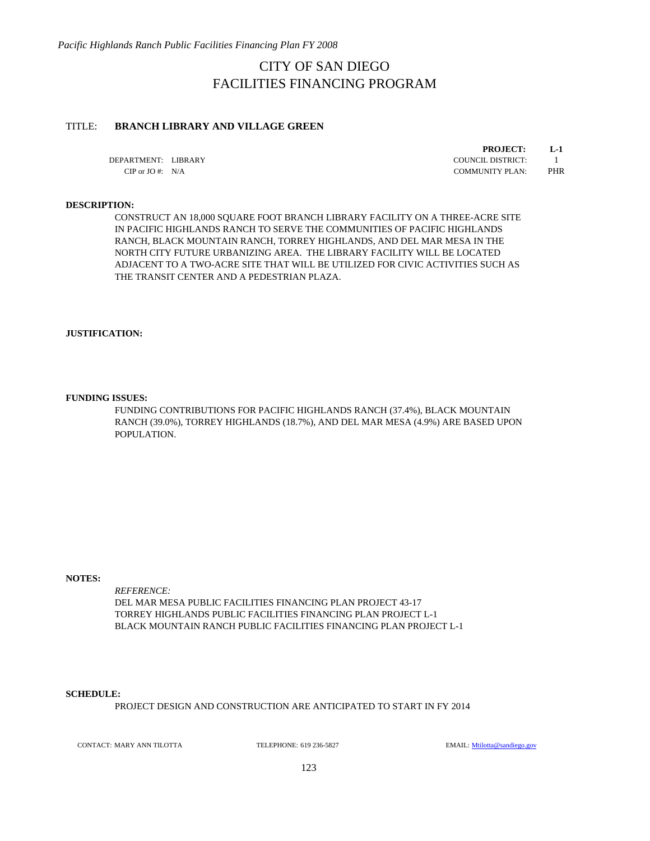*Pacific Highlands Ranch Public Facilities Financing Plan FY 2008* 

### CITY OF SAN DIEGO FACILITIES FINANCING PROGRAM

#### TITLE: **BRANCH LIBRARY AND VILLAGE GREEN**

DEPARTMENT: LIBRARY COUNCIL DISTRICT: 1

**PROJECT: L-1**

CIP or JO #: N/A COMMUNITY PLAN: PHR

#### **DESCRIPTION:**

CONSTRUCT AN 18,000 SQUARE FOOT BRANCH LIBRARY FACILITY ON A THREE-ACRE SITE IN PACIFIC HIGHLANDS RANCH TO SERVE THE COMMUNITIES OF PACIFIC HIGHLANDS RANCH, BLACK MOUNTAIN RANCH, TORREY HIGHLANDS, AND DEL MAR MESA IN THE NORTH CITY FUTURE URBANIZING AREA. THE LIBRARY FACILITY WILL BE LOCATED ADJACENT TO A TWO-ACRE SITE THAT WILL BE UTILIZED FOR CIVIC ACTIVITIES SUCH AS THE TRANSIT CENTER AND A PEDESTRIAN PLAZA.

#### **JUSTIFICATION:**

#### **FUNDING ISSUES:**

FUNDING CONTRIBUTIONS FOR PACIFIC HIGHLANDS RANCH (37.4%), BLACK MOUNTAIN RANCH (39.0%), TORREY HIGHLANDS (18.7%), AND DEL MAR MESA (4.9%) ARE BASED UPON POPULATION.

#### **NOTES:**

*REFERENCE:*  DEL MAR MESA PUBLIC FACILITIES FINANCING PLAN PROJECT 43-17 TORREY HIGHLANDS PUBLIC FACILITIES FINANCING PLAN PROJECT L-1 BLACK MOUNTAIN RANCH PUBLIC FACILITIES FINANCING PLAN PROJECT L-1

#### **SCHEDULE:**

PROJECT DESIGN AND CONSTRUCTION ARE ANTICIPATED TO START IN FY 2014

CONTACT: MARY ANN TILOTTA TELEPHONE: 619 236-5827 EMAIL: Milotta@sandiego.gov